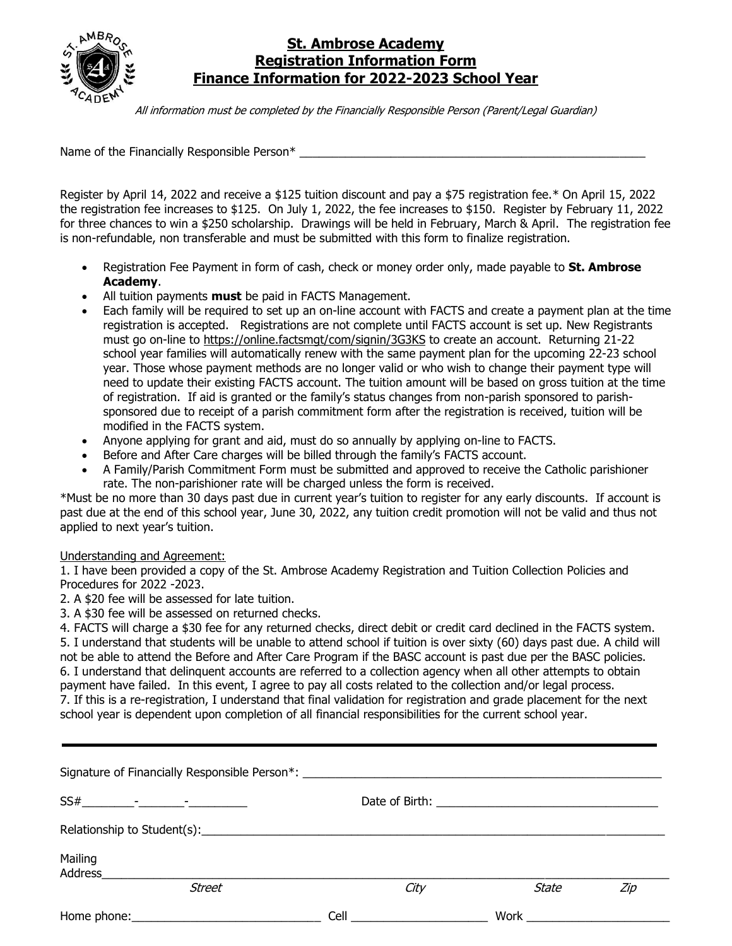

## **St. Ambrose Academy Registration Information Form Finance Information for 2022-2023 School Year**

All information must be completed by the Financially Responsible Person (Parent/Legal Guardian)

Name of the Financially Responsible Person\*

Register by April 14, 2022 and receive a \$125 tuition discount and pay a \$75 registration fee.\* On April 15, 2022 the registration fee increases to \$125. On July 1, 2022, the fee increases to \$150. Register by February 11, 2022 for three chances to win a \$250 scholarship. Drawings will be held in February, March & April. The registration fee is non-refundable, non transferable and must be submitted with this form to finalize registration.

- Registration Fee Payment in form of cash, check or money order only, made payable to **St. Ambrose Academy**.
- All tuition payments **must** be paid in FACTS Management.
- Each family will be required to set up an on-line account with FACTS and create a payment plan at the time registration is accepted. Registrations are not complete until FACTS account is set up. New Registrants must go on-line to https://online.factsmgt/com/signin/3G3KS to create an account. Returning 21-22 school year families will automatically renew with the same payment plan for the upcoming 22-23 school year. Those whose payment methods are no longer valid or who wish to change their payment type will need to update their existing FACTS account. The tuition amount will be based on gross tuition at the time of registration. If aid is granted or the family's status changes from non-parish sponsored to parishsponsored due to receipt of a parish commitment form after the registration is received, tuition will be modified in the FACTS system.
- Anyone applying for grant and aid, must do so annually by applying on-line to FACTS.
- Before and After Care charges will be billed through the family's FACTS account.
- A Family/Parish Commitment Form must be submitted and approved to receive the Catholic parishioner rate. The non-parishioner rate will be charged unless the form is received.

\*Must be no more than 30 days past due in current year's tuition to register for any early discounts. If account is past due at the end of this school year, June 30, 2022, any tuition credit promotion will not be valid and thus not applied to next year's tuition.

## Understanding and Agreement:

1. I have been provided a copy of the St. Ambrose Academy Registration and Tuition Collection Policies and Procedures for 2022 -2023.

2. A \$20 fee will be assessed for late tuition.

3. A \$30 fee will be assessed on returned checks.

4. FACTS will charge a \$30 fee for any returned checks, direct debit or credit card declined in the FACTS system. 5. I understand that students will be unable to attend school if tuition is over sixty (60) days past due. A child will not be able to attend the Before and After Care Program if the BASC account is past due per the BASC policies. 6. I understand that delinquent accounts are referred to a collection agency when all other attempts to obtain payment have failed. In this event, I agree to pay all costs related to the collection and/or legal process. 7. If this is a re-registration, I understand that final validation for registration and grade placement for the next school year is dependent upon completion of all financial responsibilities for the current school year.

| Signature of Financially Responsible Person*: __________________________________ |      |       |     |
|----------------------------------------------------------------------------------|------|-------|-----|
|                                                                                  |      |       |     |
|                                                                                  |      |       |     |
| Mailing<br>Address______________                                                 |      |       |     |
| <b>Street</b>                                                                    | City | State | Zip |
|                                                                                  |      |       |     |